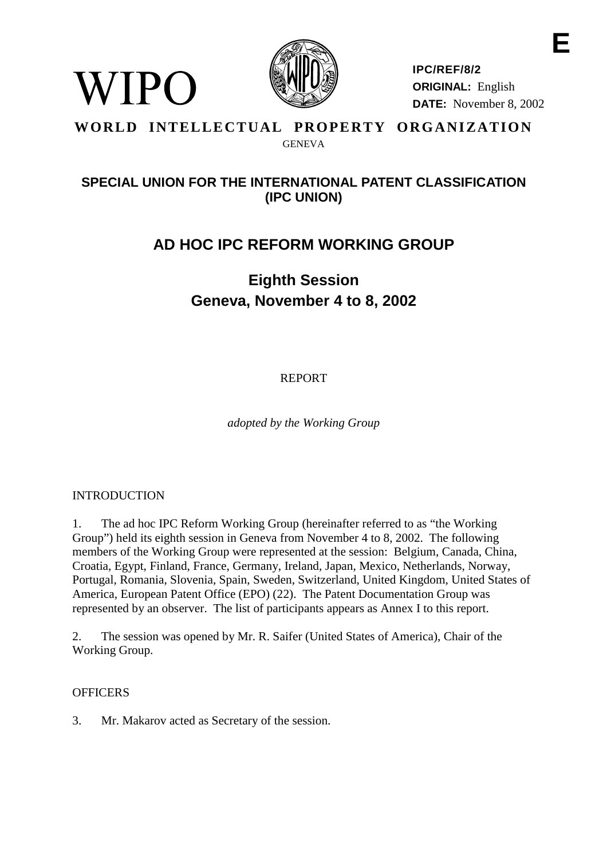

**IPC/REF/8/2 ORIGINAL:** English **DATE:** November 8, 2002 **E**

### **WORLD INTELLECTUAL PROPERTY ORGANIZATION** GENEVA

# **SPECIAL UNION FOR THE INTERNATIONAL PATENT CLASSIFICATION (IPC UNION)**

# **AD HOC IPC REFORM WORKING GROUP**

# **Eighth Session Geneva, November 4 to 8, 2002**

REPORT

*adopted by the Working Group*

## INTRODUCTION

WIPO

1. The ad hoc IPC Reform Working Group (hereinafter referred to as "the Working Group") held its eighth session in Geneva from November 4 to 8, 2002. The following members of the Working Group were represented at the session: Belgium, Canada, China, Croatia, Egypt, Finland, France, Germany, Ireland, Japan, Mexico, Netherlands, Norway, Portugal, Romania, Slovenia, Spain, Sweden, Switzerland, United Kingdom, United States of America, European Patent Office (EPO) (22). The Patent Documentation Group was represented by an observer. The list of participants appears as Annex I to this report.

2. The session was opened by Mr. R. Saifer (United States of America), Chair of the Working Group.

#### **OFFICERS**

3. Mr. Makarov acted as Secretary of the session.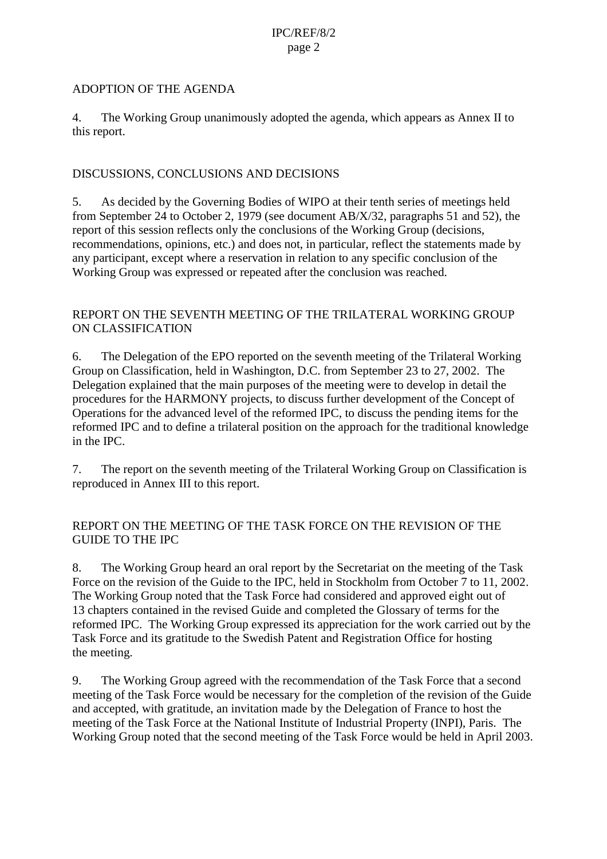#### ADOPTION OF THE AGENDA

4. The Working Group unanimously adopted the agenda, which appears as Annex II to this report.

#### DISCUSSIONS, CONCLUSIONS AND DECISIONS

5. As decided by the Governing Bodies of WIPO at their tenth series of meetings held from September 24 to October 2, 1979 (see document AB/X/32, paragraphs 51 and 52), the report of this session reflects only the conclusions of the Working Group (decisions, recommendations, opinions, etc.) and does not, in particular, reflect the statements made by any participant, except where a reservation in relation to any specific conclusion of the Working Group was expressed or repeated after the conclusion was reached.

#### REPORT ON THE SEVENTH MEETING OF THE TRILATERAL WORKING GROUP ON CLASSIFICATION

6. The Delegation of the EPO reported on the seventh meeting of the Trilateral Working Group on Classification, held in Washington, D.C. from September 23 to 27, 2002. The Delegation explained that the main purposes of the meeting were to develop in detail the procedures for the HARMONY projects, to discuss further development of the Concept of Operations for the advanced level of the reformed IPC, to discuss the pending items for the reformed IPC and to define a trilateral position on the approach for the traditional knowledge in the IPC.

7. The report on the seventh meeting of the Trilateral Working Group on Classification is reproduced in Annex III to this report.

#### REPORT ON THE MEETING OF THE TASK FORCE ON THE REVISION OF THE GUIDE TO THE IPC

8. The Working Group heard an oral report by the Secretariat on the meeting of the Task Force on the revision of the Guide to the IPC, held in Stockholm from October 7 to 11, 2002. The Working Group noted that the Task Force had considered and approved eight out of 13 chapters contained in the revised Guide and completed the Glossary of terms for the reformed IPC. The Working Group expressed its appreciation for the work carried out by the Task Force and its gratitude to the Swedish Patent and Registration Office for hosting the meeting.

9. The Working Group agreed with the recommendation of the Task Force that a second meeting of the Task Force would be necessary for the completion of the revision of the Guide and accepted, with gratitude, an invitation made by the Delegation of France to host the meeting of the Task Force at the National Institute of Industrial Property (INPI), Paris. The Working Group noted that the second meeting of the Task Force would be held in April 2003.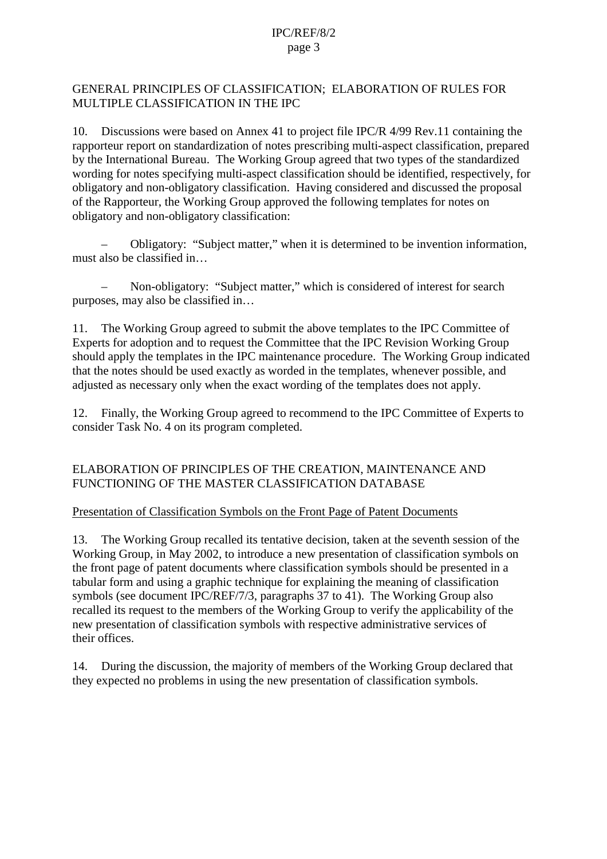#### GENERAL PRINCIPLES OF CLASSIFICATION; ELABORATION OF RULES FOR MULTIPLE CLASSIFICATION IN THE IPC

10. Discussions were based on Annex 41 to project file IPC/R 4/99 Rev.11 containing the rapporteur report on standardization of notes prescribing multi-aspect classification, prepared by the International Bureau. The Working Group agreed that two types of the standardized wording for notes specifying multi-aspect classification should be identified, respectively, for obligatory and non-obligatory classification. Having considered and discussed the proposal of the Rapporteur, the Working Group approved the following templates for notes on obligatory and non-obligatory classification:

– Obligatory: "Subject matter," when it is determined to be invention information, must also be classified in…

– Non-obligatory: "Subject matter," which is considered of interest for search purposes, may also be classified in…

11. The Working Group agreed to submit the above templates to the IPC Committee of Experts for adoption and to request the Committee that the IPC Revision Working Group should apply the templates in the IPC maintenance procedure. The Working Group indicated that the notes should be used exactly as worded in the templates, whenever possible, and adjusted as necessary only when the exact wording of the templates does not apply.

12. Finally, the Working Group agreed to recommend to the IPC Committee of Experts to consider Task No. 4 on its program completed.

#### ELABORATION OF PRINCIPLES OF THE CREATION, MAINTENANCE AND FUNCTIONING OF THE MASTER CLASSIFICATION DATABASE

#### Presentation of Classification Symbols on the Front Page of Patent Documents

13. The Working Group recalled its tentative decision, taken at the seventh session of the Working Group, in May 2002, to introduce a new presentation of classification symbols on the front page of patent documents where classification symbols should be presented in a tabular form and using a graphic technique for explaining the meaning of classification symbols (see document IPC/REF/7/3, paragraphs 37 to 41). The Working Group also recalled its request to the members of the Working Group to verify the applicability of the new presentation of classification symbols with respective administrative services of their offices.

14. During the discussion, the majority of members of the Working Group declared that they expected no problems in using the new presentation of classification symbols.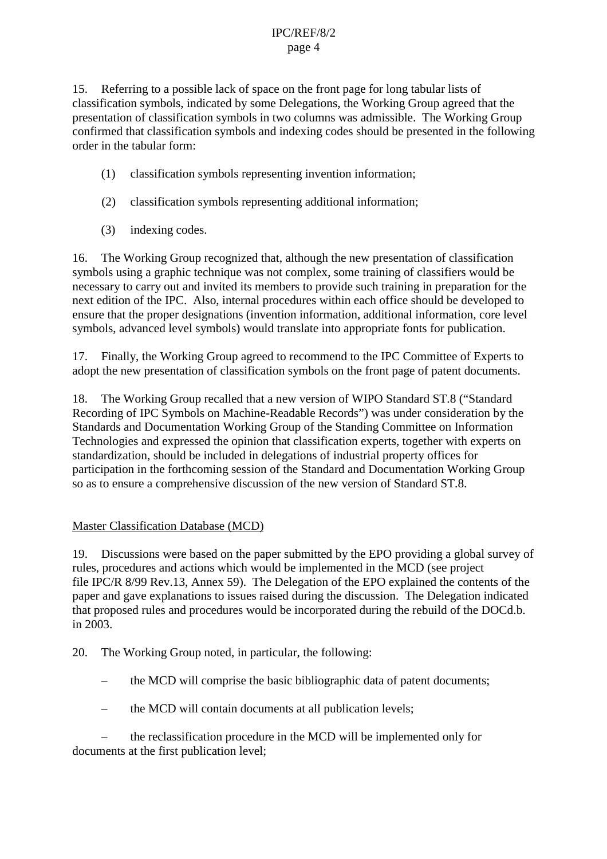15. Referring to a possible lack of space on the front page for long tabular lists of classification symbols, indicated by some Delegations, the Working Group agreed that the presentation of classification symbols in two columns was admissible. The Working Group confirmed that classification symbols and indexing codes should be presented in the following order in the tabular form:

- (1) classification symbols representing invention information;
- (2) classification symbols representing additional information;
- (3) indexing codes.

16. The Working Group recognized that, although the new presentation of classification symbols using a graphic technique was not complex, some training of classifiers would be necessary to carry out and invited its members to provide such training in preparation for the next edition of the IPC. Also, internal procedures within each office should be developed to ensure that the proper designations (invention information, additional information, core level symbols, advanced level symbols) would translate into appropriate fonts for publication.

17. Finally, the Working Group agreed to recommend to the IPC Committee of Experts to adopt the new presentation of classification symbols on the front page of patent documents.

18. The Working Group recalled that a new version of WIPO Standard ST.8 ("Standard Recording of IPC Symbols on Machine-Readable Records") was under consideration by the Standards and Documentation Working Group of the Standing Committee on Information Technologies and expressed the opinion that classification experts, together with experts on standardization, should be included in delegations of industrial property offices for participation in the forthcoming session of the Standard and Documentation Working Group so as to ensure a comprehensive discussion of the new version of Standard ST.8.

#### Master Classification Database (MCD)

19. Discussions were based on the paper submitted by the EPO providing a global survey of rules, procedures and actions which would be implemented in the MCD (see project file IPC/R 8/99 Rev.13, Annex 59). The Delegation of the EPO explained the contents of the paper and gave explanations to issues raised during the discussion. The Delegation indicated that proposed rules and procedures would be incorporated during the rebuild of the DOCd.b. in 2003.

20. The Working Group noted, in particular, the following:

- the MCD will comprise the basic bibliographic data of patent documents;
- the MCD will contain documents at all publication levels;

– the reclassification procedure in the MCD will be implemented only for documents at the first publication level;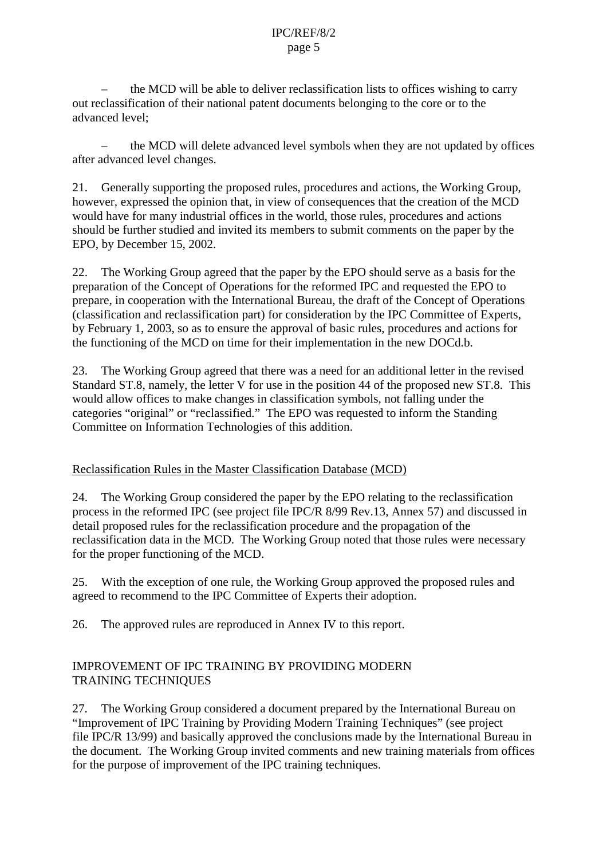– the MCD will be able to deliver reclassification lists to offices wishing to carry out reclassification of their national patent documents belonging to the core or to the advanced level;

– the MCD will delete advanced level symbols when they are not updated by offices after advanced level changes.

21. Generally supporting the proposed rules, procedures and actions, the Working Group, however, expressed the opinion that, in view of consequences that the creation of the MCD would have for many industrial offices in the world, those rules, procedures and actions should be further studied and invited its members to submit comments on the paper by the EPO, by December 15, 2002.

22. The Working Group agreed that the paper by the EPO should serve as a basis for the preparation of the Concept of Operations for the reformed IPC and requested the EPO to prepare, in cooperation with the International Bureau, the draft of the Concept of Operations (classification and reclassification part) for consideration by the IPC Committee of Experts, by February 1, 2003, so as to ensure the approval of basic rules, procedures and actions for the functioning of the MCD on time for their implementation in the new DOCd.b.

23. The Working Group agreed that there was a need for an additional letter in the revised Standard ST.8, namely, the letter V for use in the position 44 of the proposed new ST.8. This would allow offices to make changes in classification symbols, not falling under the categories "original" or "reclassified." The EPO was requested to inform the Standing Committee on Information Technologies of this addition.

#### Reclassification Rules in the Master Classification Database (MCD)

24. The Working Group considered the paper by the EPO relating to the reclassification process in the reformed IPC (see project file IPC/R 8/99 Rev.13, Annex 57) and discussed in detail proposed rules for the reclassification procedure and the propagation of the reclassification data in the MCD. The Working Group noted that those rules were necessary for the proper functioning of the MCD.

25. With the exception of one rule, the Working Group approved the proposed rules and agreed to recommend to the IPC Committee of Experts their adoption.

26. The approved rules are reproduced in Annex IV to this report.

#### IMPROVEMENT OF IPC TRAINING BY PROVIDING MODERN TRAINING TECHNIQUES

27. The Working Group considered a document prepared by the International Bureau on "Improvement of IPC Training by Providing Modern Training Techniques" (see project file IPC/R 13/99) and basically approved the conclusions made by the International Bureau in the document. The Working Group invited comments and new training materials from offices for the purpose of improvement of the IPC training techniques.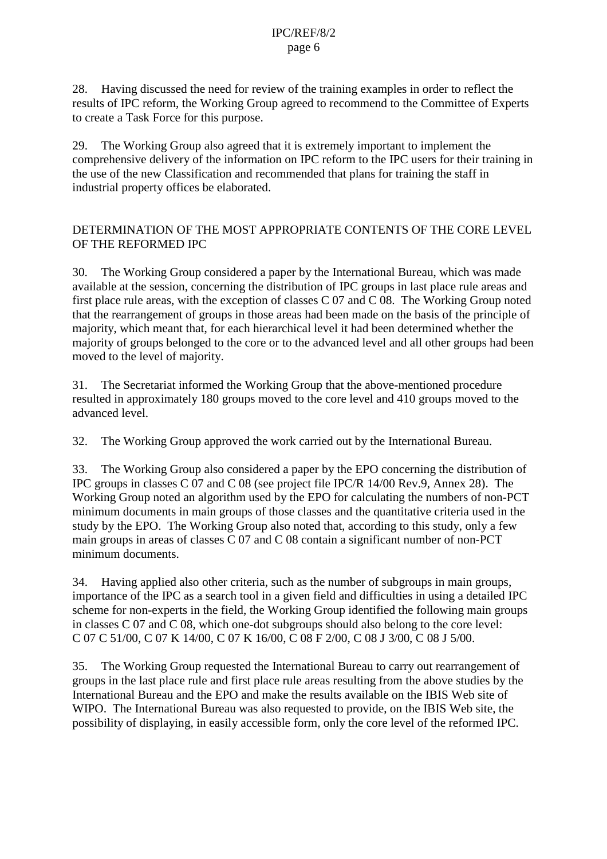28. Having discussed the need for review of the training examples in order to reflect the results of IPC reform, the Working Group agreed to recommend to the Committee of Experts to create a Task Force for this purpose.

29. The Working Group also agreed that it is extremely important to implement the comprehensive delivery of the information on IPC reform to the IPC users for their training in the use of the new Classification and recommended that plans for training the staff in industrial property offices be elaborated.

#### DETERMINATION OF THE MOST APPROPRIATE CONTENTS OF THE CORE LEVEL OF THE REFORMED IPC

30. The Working Group considered a paper by the International Bureau, which was made available at the session, concerning the distribution of IPC groups in last place rule areas and first place rule areas, with the exception of classes C 07 and C 08. The Working Group noted that the rearrangement of groups in those areas had been made on the basis of the principle of majority, which meant that, for each hierarchical level it had been determined whether the majority of groups belonged to the core or to the advanced level and all other groups had been moved to the level of majority.

31. The Secretariat informed the Working Group that the above-mentioned procedure resulted in approximately 180 groups moved to the core level and 410 groups moved to the advanced level.

32. The Working Group approved the work carried out by the International Bureau.

33. The Working Group also considered a paper by the EPO concerning the distribution of IPC groups in classes C 07 and C 08 (see project file IPC/R 14/00 Rev.9, Annex 28). The Working Group noted an algorithm used by the EPO for calculating the numbers of non-PCT minimum documents in main groups of those classes and the quantitative criteria used in the study by the EPO. The Working Group also noted that, according to this study, only a few main groups in areas of classes C 07 and C 08 contain a significant number of non-PCT minimum documents.

34. Having applied also other criteria, such as the number of subgroups in main groups, importance of the IPC as a search tool in a given field and difficulties in using a detailed IPC scheme for non-experts in the field, the Working Group identified the following main groups in classes C 07 and C 08, which one-dot subgroups should also belong to the core level: C 07 C 51/00, C 07 K 14/00, C 07 K 16/00, C 08 F 2/00, C 08 J 3/00, C 08 J 5/00.

35. The Working Group requested the International Bureau to carry out rearrangement of groups in the last place rule and first place rule areas resulting from the above studies by the International Bureau and the EPO and make the results available on the IBIS Web site of WIPO. The International Bureau was also requested to provide, on the IBIS Web site, the possibility of displaying, in easily accessible form, only the core level of the reformed IPC.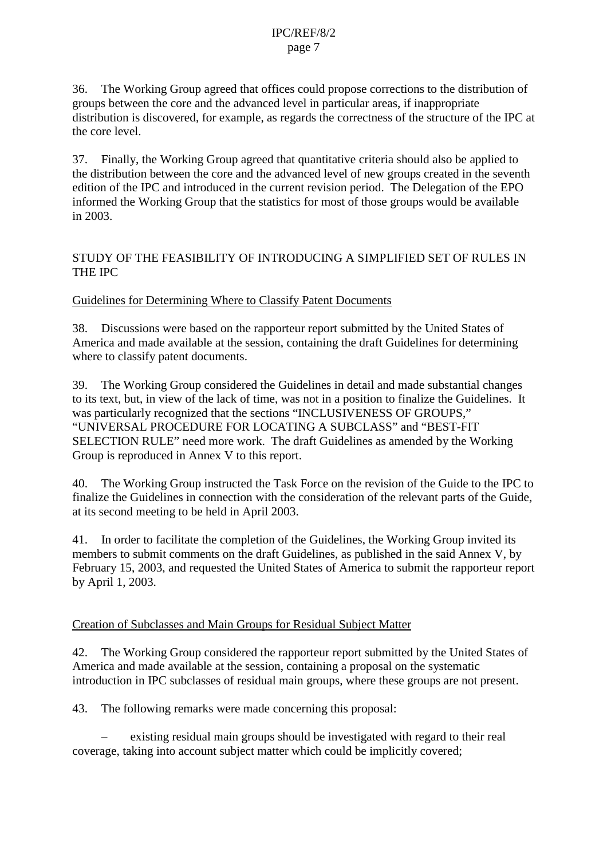36. The Working Group agreed that offices could propose corrections to the distribution of groups between the core and the advanced level in particular areas, if inappropriate distribution is discovered, for example, as regards the correctness of the structure of the IPC at the core level.

37. Finally, the Working Group agreed that quantitative criteria should also be applied to the distribution between the core and the advanced level of new groups created in the seventh edition of the IPC and introduced in the current revision period. The Delegation of the EPO informed the Working Group that the statistics for most of those groups would be available in 2003.

#### STUDY OF THE FEASIBILITY OF INTRODUCING A SIMPLIFIED SET OF RULES IN THE IPC

#### Guidelines for Determining Where to Classify Patent Documents

38. Discussions were based on the rapporteur report submitted by the United States of America and made available at the session, containing the draft Guidelines for determining where to classify patent documents.

39. The Working Group considered the Guidelines in detail and made substantial changes to its text, but, in view of the lack of time, was not in a position to finalize the Guidelines. It was particularly recognized that the sections "INCLUSIVENESS OF GROUPS," "UNIVERSAL PROCEDURE FOR LOCATING A SUBCLASS" and "BEST-FIT SELECTION RULE" need more work. The draft Guidelines as amended by the Working Group is reproduced in Annex V to this report.

40. The Working Group instructed the Task Force on the revision of the Guide to the IPC to finalize the Guidelines in connection with the consideration of the relevant parts of the Guide, at its second meeting to be held in April 2003.

41. In order to facilitate the completion of the Guidelines, the Working Group invited its members to submit comments on the draft Guidelines, as published in the said Annex V, by February 15, 2003, and requested the United States of America to submit the rapporteur report by April 1, 2003.

#### Creation of Subclasses and Main Groups for Residual Subject Matter

42. The Working Group considered the rapporteur report submitted by the United States of America and made available at the session, containing a proposal on the systematic introduction in IPC subclasses of residual main groups, where these groups are not present.

43. The following remarks were made concerning this proposal:

– existing residual main groups should be investigated with regard to their real coverage, taking into account subject matter which could be implicitly covered;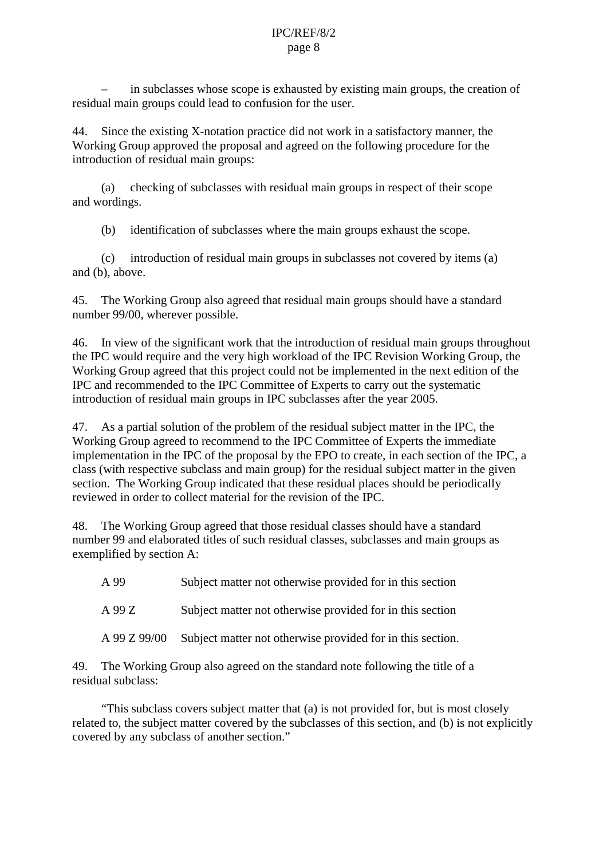– in subclasses whose scope is exhausted by existing main groups, the creation of residual main groups could lead to confusion for the user.

44. Since the existing X-notation practice did not work in a satisfactory manner, the Working Group approved the proposal and agreed on the following procedure for the introduction of residual main groups:

(a) checking of subclasses with residual main groups in respect of their scope and wordings.

(b) identification of subclasses where the main groups exhaust the scope.

(c) introduction of residual main groups in subclasses not covered by items (a) and (b), above.

45. The Working Group also agreed that residual main groups should have a standard number 99/00, wherever possible.

46. In view of the significant work that the introduction of residual main groups throughout the IPC would require and the very high workload of the IPC Revision Working Group, the Working Group agreed that this project could not be implemented in the next edition of the IPC and recommended to the IPC Committee of Experts to carry out the systematic introduction of residual main groups in IPC subclasses after the year 2005.

47. As a partial solution of the problem of the residual subject matter in the IPC, the Working Group agreed to recommend to the IPC Committee of Experts the immediate implementation in the IPC of the proposal by the EPO to create, in each section of the IPC, a class (with respective subclass and main group) for the residual subject matter in the given section. The Working Group indicated that these residual places should be periodically reviewed in order to collect material for the revision of the IPC.

48. The Working Group agreed that those residual classes should have a standard number 99 and elaborated titles of such residual classes, subclasses and main groups as exemplified by section A:

| A 99 | Subject matter not otherwise provided for in this section |
|------|-----------------------------------------------------------|
|      |                                                           |

A 99 Z Subject matter not otherwise provided for in this section

A 99 Z 99/00 Subject matter not otherwise provided for in this section.

49. The Working Group also agreed on the standard note following the title of a residual subclass:

"This subclass covers subject matter that (a) is not provided for, but is most closely related to, the subject matter covered by the subclasses of this section, and (b) is not explicitly covered by any subclass of another section."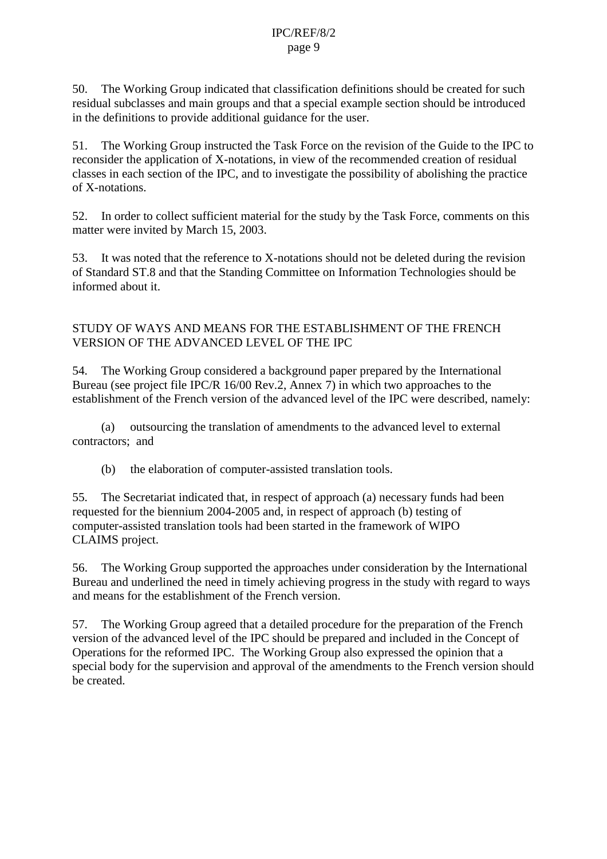50. The Working Group indicated that classification definitions should be created for such residual subclasses and main groups and that a special example section should be introduced in the definitions to provide additional guidance for the user.

51. The Working Group instructed the Task Force on the revision of the Guide to the IPC to reconsider the application of X-notations, in view of the recommended creation of residual classes in each section of the IPC, and to investigate the possibility of abolishing the practice of X-notations.

52. In order to collect sufficient material for the study by the Task Force, comments on this matter were invited by March 15, 2003.

53. It was noted that the reference to X-notations should not be deleted during the revision of Standard ST.8 and that the Standing Committee on Information Technologies should be informed about it.

#### STUDY OF WAYS AND MEANS FOR THE ESTABLISHMENT OF THE FRENCH VERSION OF THE ADVANCED LEVEL OF THE IPC

54. The Working Group considered a background paper prepared by the International Bureau (see project file IPC/R 16/00 Rev.2, Annex 7) in which two approaches to the establishment of the French version of the advanced level of the IPC were described, namely:

(a) outsourcing the translation of amendments to the advanced level to external contractors; and

(b) the elaboration of computer-assisted translation tools.

55. The Secretariat indicated that, in respect of approach (a) necessary funds had been requested for the biennium 2004-2005 and, in respect of approach (b) testing of computer-assisted translation tools had been started in the framework of WIPO CLAIMS project.

56. The Working Group supported the approaches under consideration by the International Bureau and underlined the need in timely achieving progress in the study with regard to ways and means for the establishment of the French version.

57. The Working Group agreed that a detailed procedure for the preparation of the French version of the advanced level of the IPC should be prepared and included in the Concept of Operations for the reformed IPC. The Working Group also expressed the opinion that a special body for the supervision and approval of the amendments to the French version should be created.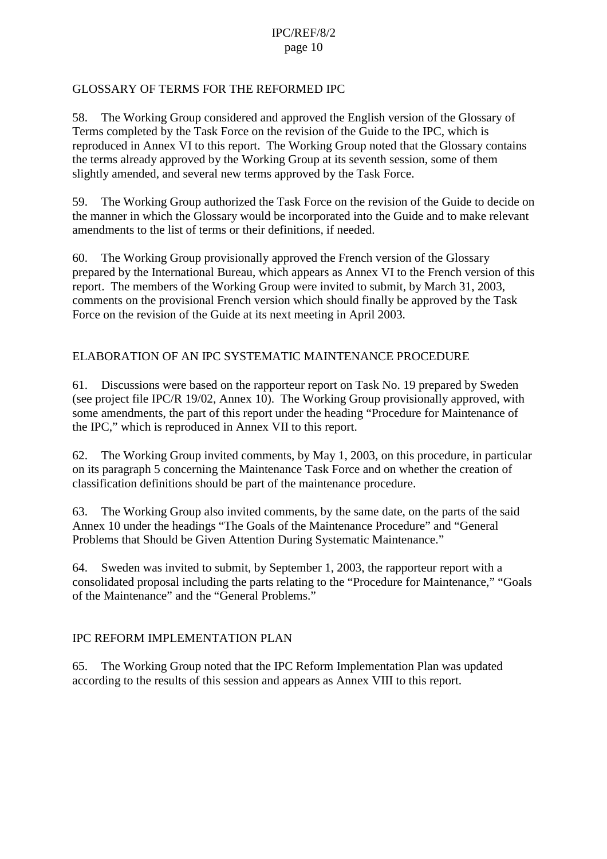#### GLOSSARY OF TERMS FOR THE REFORMED IPC

58. The Working Group considered and approved the English version of the Glossary of Terms completed by the Task Force on the revision of the Guide to the IPC, which is reproduced in Annex VI to this report. The Working Group noted that the Glossary contains the terms already approved by the Working Group at its seventh session, some of them slightly amended, and several new terms approved by the Task Force.

59. The Working Group authorized the Task Force on the revision of the Guide to decide on the manner in which the Glossary would be incorporated into the Guide and to make relevant amendments to the list of terms or their definitions, if needed.

60. The Working Group provisionally approved the French version of the Glossary prepared by the International Bureau, which appears as Annex VI to the French version of this report. The members of the Working Group were invited to submit, by March 31, 2003, comments on the provisional French version which should finally be approved by the Task Force on the revision of the Guide at its next meeting in April 2003.

#### ELABORATION OF AN IPC SYSTEMATIC MAINTENANCE PROCEDURE

61. Discussions were based on the rapporteur report on Task No. 19 prepared by Sweden (see project file IPC/R 19/02, Annex 10). The Working Group provisionally approved, with some amendments, the part of this report under the heading "Procedure for Maintenance of the IPC," which is reproduced in Annex VII to this report.

62. The Working Group invited comments, by May 1, 2003, on this procedure, in particular on its paragraph 5 concerning the Maintenance Task Force and on whether the creation of classification definitions should be part of the maintenance procedure.

63. The Working Group also invited comments, by the same date, on the parts of the said Annex 10 under the headings "The Goals of the Maintenance Procedure" and "General Problems that Should be Given Attention During Systematic Maintenance."

64. Sweden was invited to submit, by September 1, 2003, the rapporteur report with a consolidated proposal including the parts relating to the "Procedure for Maintenance," "Goals of the Maintenance" and the "General Problems."

#### IPC REFORM IMPLEMENTATION PLAN

65. The Working Group noted that the IPC Reform Implementation Plan was updated according to the results of this session and appears as Annex VIII to this report.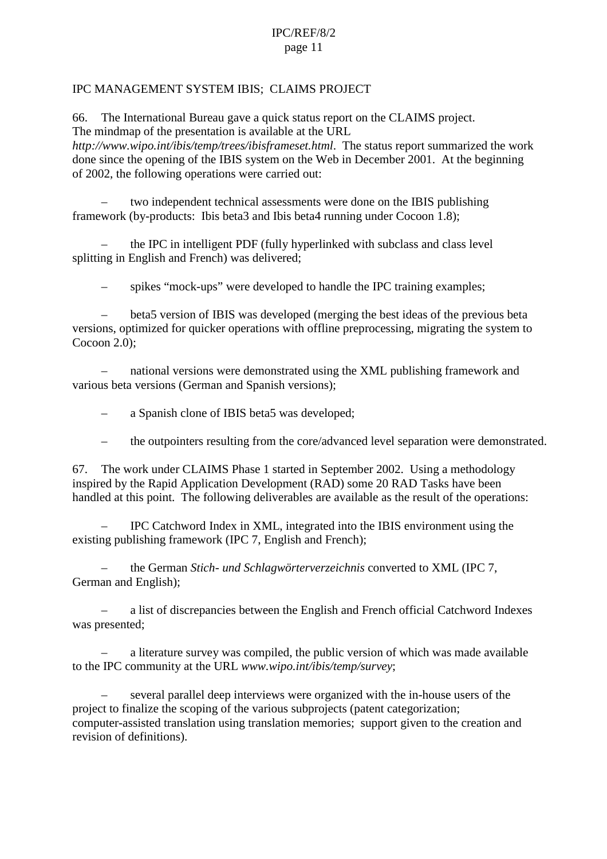#### IPC MANAGEMENT SYSTEM IBIS; CLAIMS PROJECT

66. The International Bureau gave a quick status report on the CLAIMS project. The mindmap of the presentation is available at the URL

*http://www.wipo.int/ibis/temp/trees/ibisframeset.html*. The status report summarized the work done since the opening of the IBIS system on the Web in December 2001. At the beginning of 2002, the following operations were carried out:

– two independent technical assessments were done on the IBIS publishing framework (by-products: Ibis beta3 and Ibis beta4 running under Cocoon 1.8);

– the IPC in intelligent PDF (fully hyperlinked with subclass and class level splitting in English and French) was delivered;

– spikes "mock-ups" were developed to handle the IPC training examples;

– beta5 version of IBIS was developed (merging the best ideas of the previous beta versions, optimized for quicker operations with offline preprocessing, migrating the system to Cocoon 2.0);

– national versions were demonstrated using the XML publishing framework and various beta versions (German and Spanish versions);

– a Spanish clone of IBIS beta5 was developed;

– the outpointers resulting from the core/advanced level separation were demonstrated.

67. The work under CLAIMS Phase 1 started in September 2002. Using a methodology inspired by the Rapid Application Development (RAD) some 20 RAD Tasks have been handled at this point. The following deliverables are available as the result of the operations:

– IPC Catchword Index in XML, integrated into the IBIS environment using the existing publishing framework (IPC 7, English and French);

– the German *Stich- und Schlagwörterverzeichnis* converted to XML (IPC 7, German and English);

– a list of discrepancies between the English and French official Catchword Indexes was presented;

– a literature survey was compiled, the public version of which was made available to the IPC community at the URL *www.wipo.int/ibis/temp/survey*;

– several parallel deep interviews were organized with the in-house users of the project to finalize the scoping of the various subprojects (patent categorization; computer-assisted translation using translation memories; support given to the creation and revision of definitions).